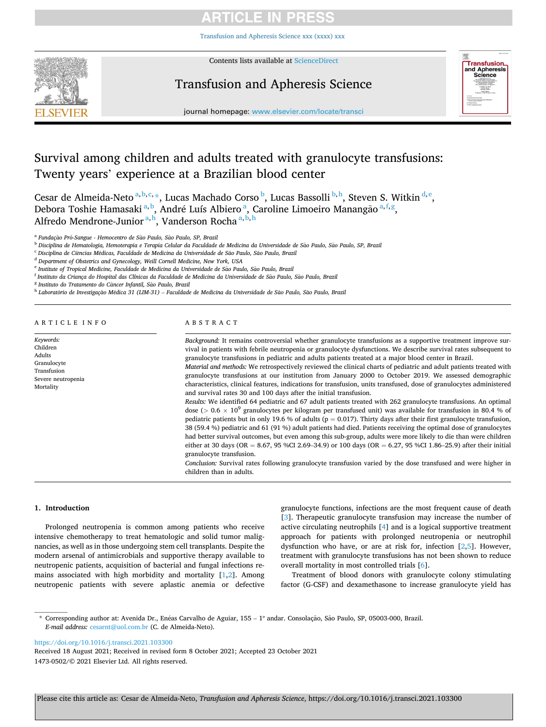# **ARTICLE IN PRESS**

[Transfusion and Apheresis Science xxx \(xxxx\) xxx](https://doi.org/10.1016/j.transci.2021.103300)



Contents lists available at [ScienceDirect](www.sciencedirect.com/science/journal/14730502)

# Transfusion and Apheresis Science



journal homepage: [www.elsevier.com/locate/transci](https://www.elsevier.com/locate/transci) 

# Survival among children and adults treated with granulocyte transfusions: Twenty years' experience at a Brazilian blood center

Cesar de Almeida-Neto <sup>a, b, c,</sup> \*, Lucas Machado Corso <sup>b</sup>, Lucas Bassolli <sup>b, h</sup>, Steven S. Witkin <sup>d, e</sup>, Debora Toshie Hamasaki<sup>a, b</sup>, André Luís Albiero<sup>a</sup>, Caroline Limoeiro Manangão <sup>a, f, g</sup>, Alfredo Mendrone-Junior<sup>a,h</sup>, Vanderson Rocha<sup>a,b,h</sup>

<sup>a</sup> Fundação Pró-Sangue - Hemocentro de São Paulo, São Paulo, SP, Brazil

<sup>b</sup> Disciplina de Hematologia, Hemoterapia e Terapia Celular da Faculdade de Medicina da Universidade de São Paulo, São Paulo, SP, Brazil

<sup>c</sup> *Disciplina de Ci*ˆ*encias M*´*edicas, Faculdade de Medicina da Universidade de Sao* ˜ *Paulo, Sao* ˜ *Paulo, Brazil* 

<sup>d</sup> *Department of Obstetrics and Gynecology, Weill Cornell Medicine, New York, USA* 

<sup>e</sup> Institute of Tropical Medicine, Faculdade de Medicina da Universidade de São Paulo, São Paulo, Brazil

<sup>f</sup> *Instituto da Criança do Hospital das Clínicas da Faculdade de Medicina da Universidade de Sao* ˜ *Paulo, Sao* ˜ *Paulo, Brazil* 

<sup>8</sup> Instituto do Tratamento do Câncer Infantil, São Paulo, Brazil

<sup>h</sup> Laboratório de Investigação Médica 31 (LIM-31) – Faculdade de Medicina da Universidade de São Paulo, São Paulo, Brazil

|  |  |  |  |  | ARTICLE INFO |  |
|--|--|--|--|--|--------------|--|
|  |  |  |  |  |              |  |

*Keywords:*  Children Adults

Mortality

#### ABSTRACT

Granulocyte Transfusion Severe neutropenia *Background:* It remains controversial whether granulocyte transfusions as a supportive treatment improve survival in patients with febrile neutropenia or granulocyte dysfunctions. We describe survival rates subsequent to granulocyte transfusions in pediatric and adults patients treated at a major blood center in Brazil. *Material and methods:* We retrospectively reviewed the clinical charts of pediatric and adult patients treated with granulocyte transfusions at our institution from January 2000 to October 2019. We assessed demographic characteristics, clinical features, indications for transfusion, units transfused, dose of granulocytes administered and survival rates 30 and 100 days after the initial transfusion. *Results:* We identified 64 pediatric and 67 adult patients treated with 262 granulocyte transfusions. An optimal dose (> 0.6 × 10<sup>9</sup> granulocytes per kilogram per transfused unit) was available for transfusion in 80.4 % of pediatric patients but in only 19.6 % of adults ( $p = 0.017$ ). Thirty days after their first granulocyte transfusion, 38 (59.4 %) pediatric and 61 (91 %) adult patients had died. Patients receiving the optimal dose of granulocytes had better survival outcomes, but even among this sub-group, adults were more likely to die than were children either at 30 days (OR = 8.67, 95 %CI 2.69-34.9) or 100 days (OR = 6.27, 95 %CI 1.86-25.9) after their initial granulocyte transfusion. *Conclusion:* Survival rates following granulocyte transfusion varied by the dose transfused and were higher in children than in adults.

## **1. Introduction**

Prolonged neutropenia is common among patients who receive intensive chemotherapy to treat hematologic and solid tumor malignancies, as well as in those undergoing stem cell transplants. Despite the modern arsenal of antimicrobials and supportive therapy available to neutropenic patients, acquisition of bacterial and fungal infections remains associated with high morbidity and mortality  $[1,2]$  $[1,2]$ . Among neutropenic patients with severe aplastic anemia or defective granulocyte functions, infections are the most frequent cause of death [[3](#page-4-0)]. Therapeutic granulocyte transfusion may increase the number of active circulating neutrophils [[4](#page-4-0)] and is a logical supportive treatment approach for patients with prolonged neutropenia or neutrophil dysfunction who have, or are at risk for, infection [\[2](#page-4-0),[5](#page-4-0)]. However, treatment with granulocyte transfusions has not been shown to reduce overall mortality in most controlled trials [\[6\]](#page-4-0).

Treatment of blood donors with granulocyte colony stimulating factor (G-CSF) and dexamethasone to increase granulocyte yield has

\* Corresponding author at: Avenida Dr., Enéas Carvalho de Aguiar, 155 - 1° andar. Consolação, São Paulo, SP, 05003-000, Brazil. *E-mail address:* [cesarnt@uol.com.br](mailto:cesarnt@uol.com.br) (C. de Almeida-Neto).

<https://doi.org/10.1016/j.transci.2021.103300>

1473-0502/© 2021 Elsevier Ltd. All rights reserved. Received 18 August 2021; Received in revised form 8 October 2021; Accepted 23 October 2021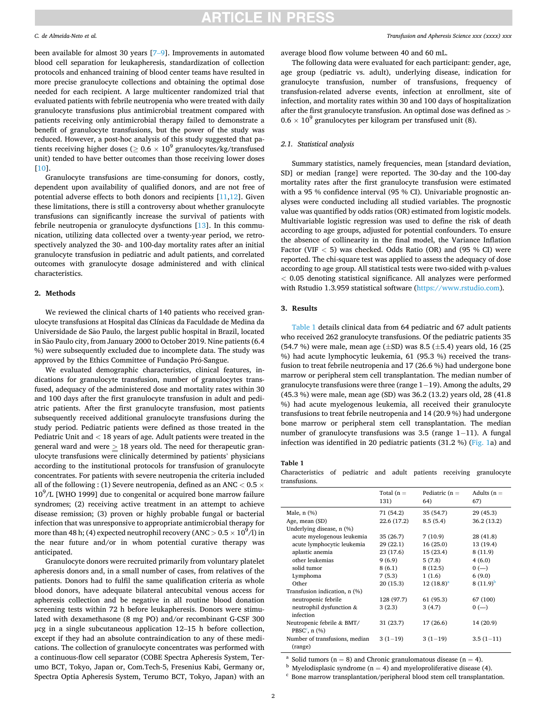# **ARTICLE IN PRESS**

### *C. de Almeida-Neto et al.*

been available for almost 30 years [7–[9\]](#page-4-0). Improvements in automated blood cell separation for leukapheresis, standardization of collection protocols and enhanced training of blood center teams have resulted in more precise granulocyte collections and obtaining the optimal dose needed for each recipient. A large multicenter randomized trial that evaluated patients with febrile neutropenia who were treated with daily granulocyte transfusions plus antimicrobial treatment compared with patients receiving only antimicrobial therapy failed to demonstrate a benefit of granulocyte transfusions, but the power of the study was reduced. However, a post-hoc analysis of this study suggested that patients receiving higher doses ( $\geq 0.6 \times 10^9$  granulocytes/kg/transfused unit) tended to have better outcomes than those receiving lower doses [[10\]](#page-4-0).

Granulocyte transfusions are time-consuming for donors, costly, dependent upon availability of qualified donors, and are not free of potential adverse effects to both donors and recipients [\[11](#page-4-0),[12\]](#page-4-0). Given these limitations, there is still a controversy about whether granulocyte transfusions can significantly increase the survival of patients with febrile neutropenia or granulocyte dysfunctions [[13\]](#page-4-0). In this communication, utilizing data collected over a twenty-year period, we retrospectively analyzed the 30- and 100-day mortality rates after an initial granulocyte transfusion in pediatric and adult patients, and correlated outcomes with granulocyte dosage administered and with clinical characteristics.

## **2. Methods**

We reviewed the clinical charts of 140 patients who received granulocyte transfusions at Hospital das Clínicas da Faculdade de Medina da Universidade de São Paulo, the largest public hospital in Brazil, located in São Paulo city, from January 2000 to October 2019. Nine patients (6.4 %) were subsequently excluded due to incomplete data. The study was approved by the Ethics Committee of Fundação Pró-Sangue.

We evaluated demographic characteristics, clinical features, indications for granulocyte transfusion, number of granulocytes transfused, adequacy of the administered dose and mortality rates within 30 and 100 days after the first granulocyte transfusion in adult and pediatric patients. After the first granulocyte transfusion, most patients subsequently received additional granulocyte transfusions during the study period. Pediatric patients were defined as those treated in the Pediatric Unit and *<* 18 years of age. Adult patients were treated in the general ward and were *>* 18 years old. The need for therapeutic granulocyte transfusions were clinically determined by patients' physicians according to the institutional protocols for transfusion of granulocyte concentrates. For patients with severe neutropenia the criteria included all of the following : (1) Severe neutropenia, defined as an ANC *<* 0.5 ×  $10^9$ /L [WHO 1999] due to congenital or acquired bone marrow failure syndromes; (2) receiving active treatment in an attempt to achieve disease remission; (3) proven or highly probable fungal or bacterial infection that was unresponsive to appropriate antimicrobial therapy for more than 48 h; (4) expected neutrophil recovery (ANC  $>$  0.5  $\times$   $10^9$ /l) in the near future and/or in whom potential curative therapy was anticipated.

Granulocyte donors were recruited primarily from voluntary platelet apheresis donors and, in a small number of cases, from relatives of the patients. Donors had to fulfil the same qualification criteria as whole blood donors, have adequate bilateral antecubital venous access for apheresis collection and be negative in all routine blood donation screening tests within 72 h before leukapheresis. Donors were stimulated with dexamethasone (8 mg PO) and/or recombinant G-CSF 300 μcg in a single subcutaneous application 12–15 h before collection, except if they had an absolute contraindication to any of these medications. The collection of granulocyte concentrates was performed with a continuous-flow cell separator (COBE Spectra Apheresis System, Terumo BCT, Tokyo, Japan or, Com.Tech-5, Fresenius Kabi, Germany or, Spectra Optia Apheresis System, Terumo BCT, Tokyo, Japan) with an average blood flow volume between 40 and 60 mL.

The following data were evaluated for each participant: gender, age, age group (pediatric vs. adult), underlying disease, indication for granulocyte transfusion, number of transfusions, frequency of transfusion-related adverse events, infection at enrollment, site of infection, and mortality rates within 30 and 100 days of hospitalization after the first granulocyte transfusion. An optimal dose was defined as *>*  $0.6 \times 10^9$  granulocytes per kilogram per transfused unit (8).

### *2.1. Statistical analysis*

Summary statistics, namely frequencies, mean [standard deviation, SD] or median [range] were reported. The 30-day and the 100-day mortality rates after the first granulocyte transfusion were estimated with a 95 % confidence interval (95 % CI). Univariable prognostic analyses were conducted including all studied variables. The prognostic value was quantified by odds ratios (OR) estimated from logistic models. Multivariable logistic regression was used to define the risk of death according to age groups, adjusted for potential confounders. To ensure the absence of collinearity in the final model, the Variance Inflation Factor (VIF *<* 5) was checked. Odds Ratio (OR) and (95 % CI) were reported. The chi-square test was applied to assess the adequacy of dose according to age group. All statistical tests were two-sided with p-values *<* 0.05 denoting statistical significance. All analyzes were performed with Rstudio 1.3.959 statistical software (<https://www.rstudio.com>).

# **3. Results**

Table 1 details clinical data from 64 pediatric and 67 adult patients who received 262 granulocyte transfusions. Of the pediatric patients 35 (54.7 %) were male, mean age ( $\pm$ SD) was 8.5 ( $\pm$ 5.4) years old, 16 (25) %) had acute lymphocytic leukemia, 61 (95.3 %) received the transfusion to treat febrile neutropenia and 17 (26.6 %) had undergone bone marrow or peripheral stem cell transplantation. The median number of granulocyte transfusions were three (range 1− 19). Among the adults, 29 (45.3 %) were male, mean age (SD) was 36.2 (13.2) years old, 28 (41.8 %) had acute myelogenous leukemia, all received their granulocyte transfusions to treat febrile neutropenia and 14 (20.9 %) had undergone bone marrow or peripheral stem cell transplantation. The median number of granulocyte transfusions was 3.5 (range 1–11). A fungal infection was identified in 20 pediatric patients (31.2 %) ([Fig. 1a](#page-2-0)) and

## **Table 1**

Characteristics of pediatric and adult patients receiving granulocyte transfusions.

|                                | Total $(n =$<br>131) | Pediatric $(n =$<br>64) | Adults $(n =$<br>67) |
|--------------------------------|----------------------|-------------------------|----------------------|
| Male, $n$ $(\%)$               | 71 (54.2)            | 35 (54.7)               | 29 (45.3)            |
| Age, mean (SD)                 | 22.6 (17.2)          | 8.5(5.4)                | 36.2 (13.2)          |
| Underlying disease, n (%)      |                      |                         |                      |
| acute myelogenous leukemia     | 35 (26.7)            | 7(10.9)                 | 28 (41.8)            |
| acute lymphocytic leukemia     | 29(22.1)             | 16(25.0)                | 13 (19.4)            |
| aplastic anemia                | 23(17.6)             | 15(23.4)                | 8(11.9)              |
| other leukemias                | 9(6.9)               | 5(7.8)                  | 4(6.0)               |
| solid tumor                    | 8(6.1)               | 8 (12.5)                | $0 (-)$              |
| Lymphoma                       | 7(5.3)               | 1(1.6)                  | 6(9.0)               |
| Other                          | 20(15.3)             | $12(18.8)^a$            | $8(11.9)^b$          |
| Transfusion indication, n (%)  |                      |                         |                      |
| neutropenic febrile            | 128 (97.7)           | 61 (95.3)               | 67 (100)             |
| neutrophil dysfunction &       | 3(2.3)               | 3(4.7)                  | $0 (-)$              |
| infection                      |                      |                         |                      |
| Neutropenic febrile & BMT/     | 31(23.7)             | 17 (26.6)               | 14 (20.9)            |
| PBSC $^c$ , n $(\%)$           |                      |                         |                      |
| Number of transfusions, median | $3(1-19)$            | $3(1-19)$               | $3.5(1-11)$          |
| (range)                        |                      |                         |                      |

<sup>a</sup> Solid tumors (n = 8) and Chronic granulomatous disease (n = 4).<br><sup>b</sup> Myelodisplasic syndrome (n = 4) and myeloproliferative disease (4).<br><sup>c</sup> Bone marrow transplantation/peripheral blood stem cell transplantation.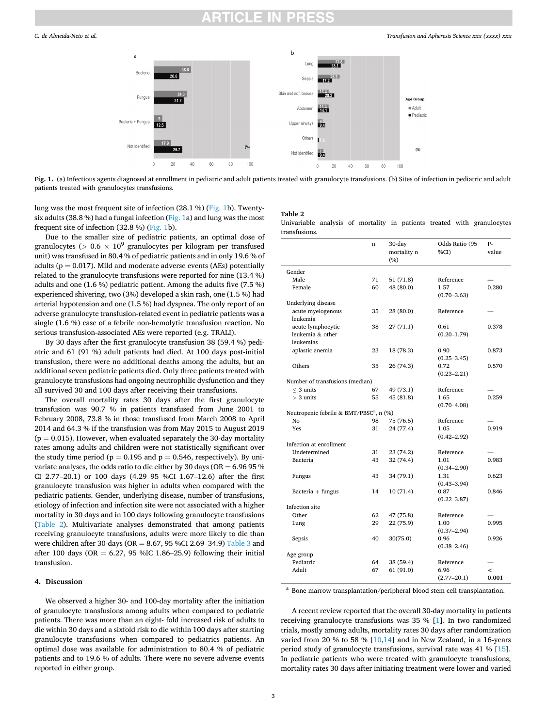<span id="page-2-0"></span>

**Fig. 1.** (a) Infectious agents diagnosed at enrollment in pediatric and adult patients treated with granulocyte transfusions. (b) Sites of infection in pediatric and adult patients treated with granulocytes transfusions.

lung was the most frequent site of infection (28.1 %) (Fig. 1b). Twentysix adults (38.8 %) had a fungal infection (Fig. 1a) and lung was the most frequent site of infection (32.8 %) (Fig. 1b).

Due to the smaller size of pediatric patients, an optimal dose of granulocytes ( $> 0.6 \times 10^9$  granulocytes per kilogram per transfused unit) was transfused in 80.4 % of pediatric patients and in only 19.6 % of adults ( $p = 0.017$ ). Mild and moderate adverse events (AEs) potentially related to the granulocyte transfusions were reported for nine (13.4 %) adults and one (1.6 %) pediatric patient. Among the adults five (7.5 %) experienced shivering, two (3%) developed a skin rash, one (1.5 %) had arterial hypotension and one (1.5 %) had dyspnea. The only report of an adverse granulocyte transfusion-related event in pediatric patients was a single (1.6 %) case of a febrile non-hemolytic transfusion reaction. No serious transfusion-associated AEs were reported (e.g. TRALI).

By 30 days after the first granulocyte transfusion 38 (59.4 %) pediatric and 61 (91 %) adult patients had died. At 100 days post-initial transfusion, there were no additional deaths among the adults, but an additional seven pediatric patients died. Only three patients treated with granulocyte transfusions had ongoing neutrophilic dysfunction and they all survived 30 and 100 days after receiving their transfusions.

The overall mortality rates 30 days after the first granulocyte transfusion was 90.7 % in patients transfused from June 2001 to February 2008, 73.8 % in those transfused from March 2008 to April 2014 and 64.3 % if the transfusion was from May 2015 to August 2019  $(p = 0.015)$ . However, when evaluated separately the 30-day mortality rates among adults and children were not statistically significant over the study time period ( $p = 0.195$  and  $p = 0.546$ , respectively). By univariate analyses, the odds ratio to die either by 30 days (OR  $= 6.96$  95 % CI 2.77–20.1) or 100 days (4.29 95 %CI 1.67–12.6) after the first granulocyte transfusion was higher in adults when compared with the pediatric patients. Gender, underlying disease, number of transfusions, etiology of infection and infection site were not associated with a higher mortality in 30 days and in 100 days following granulocyte transfusions (Table 2). Multivariate analyses demonstrated that among patients receiving granulocyte transfusions, adults were more likely to die than were children after 30-days (OR =  $8.67$ , 95 %CI 2.69-34.9) [Table 3](#page-3-0) and after 100 days (OR =  $6.27$ , 95 %IC 1.86-25.9) following their initial transfusion.

## **4. Discussion**

We observed a higher 30- and 100-day mortality after the initiation of granulocyte transfusions among adults when compared to pediatric patients. There was more than an eight- fold increased risk of adults to die within 30 days and a sixfold risk to die within 100 days after starting granulocyte transfusions when compared to pediatrics patients. An optimal dose was available for administration to 80.4 % of pediatric patients and to 19.6 % of adults. There were no severe adverse events reported in either group.

# **Table 2**

Univariable analysis of mortality in patients treated with granulocytes transfusions.

|                                                     | n  | 30-day<br>mortality n<br>(%) | Odds Ratio (95<br>%CI)  | $P-$<br>value            |
|-----------------------------------------------------|----|------------------------------|-------------------------|--------------------------|
| Gender                                              |    |                              |                         |                          |
| Male                                                | 71 | 51 (71.8)                    | Reference               |                          |
| Female                                              | 60 | 48 (80.0)                    | 1.57                    | 0.280                    |
|                                                     |    |                              | $(0.70 - 3.63)$         |                          |
| Underlying disease                                  |    |                              |                         |                          |
| acute myelogenous                                   | 35 | 28 (80.0)                    | Reference               |                          |
| leukemia                                            |    |                              |                         |                          |
| acute lymphocytic                                   | 38 | 27(71.1)                     | 0.61                    | 0.378                    |
| leukemia & other                                    |    |                              | $(0.20 - 1.79)$         |                          |
| leukemias                                           |    |                              |                         |                          |
| aplastic anemia                                     | 23 | 18 (78.3)                    | 0.90                    | 0.873                    |
|                                                     |    |                              | $(0.25 - 3.45)$         |                          |
| Others                                              | 35 | 26 (74.3)                    | 0.72                    | 0.570                    |
|                                                     |    |                              | $(0.23 - 2.21)$         |                          |
| Number of transfusions (median)                     |    |                              |                         |                          |
| $<$ 3 units                                         | 67 | 49 (73.1)                    | Reference               |                          |
| $>$ 3 units                                         | 55 | 45 (81.8)                    | 1.65                    | 0.259                    |
|                                                     |    |                              | $(0.70 - 4.08)$         |                          |
| Neutropenic febrile & BMT/PBSC <sup>a</sup> , n (%) |    |                              |                         |                          |
| No                                                  | 98 | 75 (76.5)                    | Reference               |                          |
| Yes                                                 | 31 | 24 (77.4)                    | 1.05                    | 0.919                    |
|                                                     |    |                              | $(0.42 - 2.92)$         |                          |
| Infection at enrollment                             |    |                              |                         |                          |
| Undetermined                                        | 31 | 23 (74.2)                    | Reference               |                          |
| Bacteria                                            | 43 | 32 (74.4)                    | 1.01                    | 0.983                    |
|                                                     |    |                              | $(0.34 - 2.90)$         |                          |
| Fungus                                              | 43 | 34 (79.1)                    | 1.31                    | 0.623                    |
|                                                     | 14 | 10(71.4)                     | $(0.43 - 3.94)$<br>0.87 | 0.846                    |
| Bacteria $+$ fungus                                 |    |                              | $(0.22 - 3.87)$         |                          |
| Infection site                                      |    |                              |                         |                          |
| Other                                               | 62 | 47 (75.8)                    | Reference               |                          |
| Lung                                                | 29 | 22 (75.9)                    | 1.00                    | 0.995                    |
|                                                     |    |                              | $(0.37 - 2.94)$         |                          |
| Sepsis                                              | 40 | 30(75.0)                     | 0.96                    | 0.926                    |
|                                                     |    |                              | $(0.38 - 2.46)$         |                          |
| Age group                                           |    |                              |                         |                          |
| Pediatric                                           | 64 | 38 (59.4)                    | Reference               |                          |
| Adult                                               | 67 | 61(91.0)                     | 6.96                    | $\overline{\phantom{a}}$ |
|                                                     |    |                              | $(2.77 - 20.1)$         | 0.001                    |

 $^{\rm a}$  Bone marrow transplantation/peripheral blood stem cell transplantation.

A recent review reported that the overall 30-day mortality in patients receiving granulocyte transfusions was 35 % [\[1\]](#page-4-0). In two randomized trials, mostly among adults, mortality rates 30 days after randomization varied from 20 % to 58 %  $[10,14]$  $[10,14]$  $[10,14]$  and in New Zealand, in a 16-years period study of granulocyte transfusions, survival rate was 41 % [\[15](#page-4-0)]. In pediatric patients who were treated with granulocyte transfusions, mortality rates 30 days after initiating treatment were lower and varied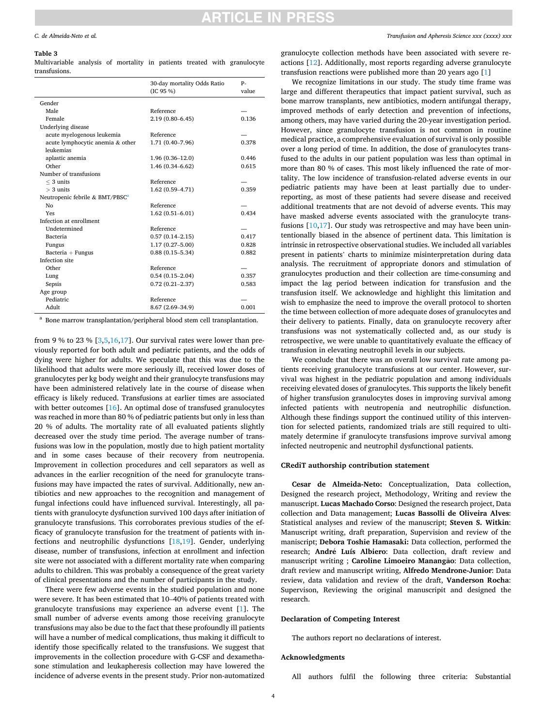# **RTICLE IN PRESS**

#### <span id="page-3-0"></span>**Table 3**

Multivariable analysis of mortality in patients treated with granulocyte transfusions.

|                                             | 30-day mortality Odds Ratio<br>(IC 95 %) | p.<br>value |
|---------------------------------------------|------------------------------------------|-------------|
| Gender                                      |                                          |             |
| Male                                        | Reference                                |             |
| Female                                      | $2.19(0.80 - 6.45)$                      | 0.136       |
| Underlying disease                          |                                          |             |
| acute myelogenous leukemia                  | Reference                                |             |
| acute lymphocytic anemia & other            | 1.71 (0.40-7.96)                         | 0.378       |
| leukemias                                   |                                          |             |
| aplastic anemia                             | $1.96(0.36 - 12.0)$                      | 0.446       |
| Other                                       | $1.46(0.34 - 6.62)$                      | 0.615       |
| Number of transfusions                      |                                          |             |
| $<$ 3 units                                 | Reference                                |             |
| $>$ 3 units                                 | $1.62(0.59 - 4.71)$                      | 0.359       |
| Neutropenic febrile & BMT/PBSC <sup>a</sup> |                                          |             |
| No                                          | Reference                                |             |
| Yes                                         | $1.62(0.51 - 6.01)$                      | 0.434       |
| Infection at enrollment                     |                                          |             |
| Undetermined                                | Reference                                |             |
| Bacteria                                    | $0.57(0.14 - 2.15)$                      | 0.417       |
| Fungus                                      | $1.17(0.27 - 5.00)$                      | 0.828       |
| $Bacteria + Fungus$                         | $0.88(0.15 - 5.34)$                      | 0.882       |
| Infection site                              |                                          |             |
| Other                                       | Reference                                |             |
| Lung                                        | $0.54(0.15-2.04)$                        | 0.357       |
| Sepsis                                      | $0.72(0.21 - 2.37)$                      | 0.583       |
| Age group                                   |                                          |             |
| Pediatric                                   | Reference                                |             |
| Adult                                       | 8.67 (2.69-34.9)                         | 0.001       |

<sup>a</sup> Bone marrow transplantation/peripheral blood stem cell transplantation.

from 9 % to 23 %  $[3,5,16,17]$  $[3,5,16,17]$  $[3,5,16,17]$ . Our survival rates were lower than previously reported for both adult and pediatric patients, and the odds of dying were higher for adults. We speculate that this was due to the likelihood that adults were more seriously ill, received lower doses of granulocytes per kg body weight and their granulocyte transfusions may have been administered relatively late in the course of disease when efficacy is likely reduced. Transfusions at earlier times are associated with better outcomes [\[16\]](#page-4-0). An optimal dose of transfused granulocytes was reached in more than 80 % of pediatric patients but only in less than 20 % of adults. The mortality rate of all evaluated patients slightly decreased over the study time period. The average number of transfusions was low in the population, mostly due to high patient mortality and in some cases because of their recovery from neutropenia. Improvement in collection procedures and cell separators as well as advances in the earlier recognition of the need for granulocyte transfusions may have impacted the rates of survival. Additionally, new antibiotics and new approaches to the recognition and management of fungal infections could have influenced survival. Interestingly, all patients with granulocyte dysfunction survived 100 days after initiation of granulocyte transfusions. This corroborates previous studies of the efficacy of granulocyte transfusion for the treatment of patients with infections and neutrophilic dysfunctions [[18,19\]](#page-4-0). Gender, underlying disease, number of transfusions, infection at enrollment and infection site were not associated with a different mortality rate when comparing adults to children. This was probably a consequence of the great variety of clinical presentations and the number of participants in the study.

There were few adverse events in the studied population and none were severe. It has been estimated that 10–40% of patients treated with granulocyte transfusions may experience an adverse event [\[1\]](#page-4-0). The small number of adverse events among those receiving granulocyte transfusions may also be due to the fact that these profoundly ill patients will have a number of medical complications, thus making it difficult to identify those specifically related to the transfusions. We suggest that improvements in the collection procedure with G-CSF and dexamethasone stimulation and leukapheresis collection may have lowered the incidence of adverse events in the present study. Prior non-automatized

granulocyte collection methods have been associated with severe reactions [\[12](#page-4-0)]. Additionally, most reports regarding adverse granulocyte transfusion reactions were published more than 20 years ago [\[1\]](#page-4-0)

We recognize limitations in our study. The study time frame was large and different therapeutics that impact patient survival, such as bone marrow transplants, new antibiotics, modern antifungal therapy, improved methods of early detection and prevention of infections, among others, may have varied during the 20-year investigation period. However, since granulocyte transfusion is not common in routine medical practice, a comprehensive evaluation of survival is only possible over a long period of time. In addition, the dose of granulocytes transfused to the adults in our patient population was less than optimal in more than 80 % of cases. This most likely influenced the rate of mortality. The low incidence of transfusion-related adverse events in our pediatric patients may have been at least partially due to underreporting, as most of these patients had severe disease and received additional treatments that are not devoid of adverse events. This may have masked adverse events associated with the granulocyte transfusions  $[10,17]$  $[10,17]$ . Our study was retrospective and may have been unintentionally biased in the absence of pertinent data. This limitation is intrinsic in retrospective observational studies. We included all variables present in patients' charts to minimize misinterpretation during data analysis. The recruitment of appropriate donors and stimulation of granulocytes production and their collection are time-consuming and impact the lag period between indication for transfusion and the transfusion itself. We acknowledge and highlight this limitation and wish to emphasize the need to improve the overall protocol to shorten the time between collection of more adequate doses of granulocytes and their delivery to patients. Finally, data on granulocyte recovery after transfusions was not systematically collected and, as our study is retrospective, we were unable to quantitatively evaluate the efficacy of transfusion in elevating neutrophil levels in our subjects.

We conclude that there was an overall low survival rate among patients receiving granulocyte transfusions at our center. However, survival was highest in the pediatric population and among individuals receiving elevated doses of granulocytes. This supports the likely benefit of higher transfusion granulocytes doses in improving survival among infected patients with neutropenia and neutrophilic disfunction. Although these findings support the continued utility of this intervention for selected patients, randomized trials are still required to ultimately determine if granulocyte transfusions improve survival among infected neutropenic and neutrophil dysfunctional patients.

## **CRediT authorship contribution statement**

**Cesar de Almeida-Neto:** Conceptualization, Data collection, Designed the research project, Methodology, Writing and review the manuscript. **Lucas Machado Corso**: Designed the research project, Data collection and Data management; **Lucas Bassolli de Oliveira Alves**: Statistical analyses and review of the manuscript; **Steven S. Witkin**: Manuscript writing, draft preparation, Supervision and review of the maniscript; **Debora Toshie Hamasaki:** Data collection, performed the research; André Luís Albiero: Data collection, draft review and manuscript writing ; Caroline Limoeiro Manangão: Data collection, draft review and manuscript writing, **Alfredo Mendrone-Junior**: Data review, data validation and review of the draft, **Vanderson Rocha**: Supervison, Reviewing the original manuscripit and designed the research.

## **Declaration of Competing Interest**

The authors report no declarations of interest.

#### **Acknowledgments**

All authors fulfil the following three criteria: Substantial